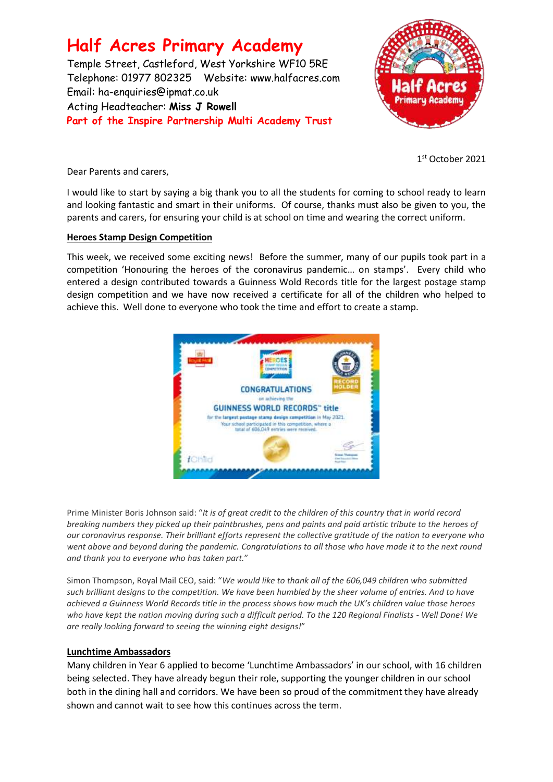# **Half Acres Primary Academy**

Temple Street, Castleford, West Yorkshire WF10 5RE Telephone: 01977 802325 Website: [www.halfacres.com](http://www.halfacres.com/) Email: ha-enquiries@ipmat.co.uk Acting Headteacher: **Miss J Rowell Part of the Inspire Partnership Multi Academy Trust**



1 st October 2021

Dear Parents and carers,

I would like to start by saying a big thank you to all the students for coming to school ready to learn and looking fantastic and smart in their uniforms. Of course, thanks must also be given to you, the parents and carers, for ensuring your child is at school on time and wearing the correct uniform.

# **Heroes Stamp Design Competition**

This week, we received some exciting news! Before the summer, many of our pupils took part in a competition 'Honouring the heroes of the coronavirus pandemic… on stamps'. Every child who entered a design contributed towards a Guinness Wold Records title for the largest postage stamp design competition and we have now received a certificate for all of the children who helped to achieve this. Well done to everyone who took the time and effort to create a stamp.



Prime Minister Boris Johnson said: "*It is of great credit to the children of this country that in world record breaking numbers they picked up their paintbrushes, pens and paints and paid artistic tribute to the heroes of our coronavirus response. Their brilliant efforts represent the collective gratitude of the nation to everyone who went above and beyond during the pandemic. Congratulations to all those who have made it to the next round and thank you to everyone who has taken part.*"

Simon Thompson, Royal Mail CEO, said: "*We would like to thank all of the 606,049 children who submitted such brilliant designs to the competition. We have been humbled by the sheer volume of entries. And to have achieved a Guinness World Records title in the process shows how much the UK's children value those heroes who have kept the nation moving during such a difficult period. To the 120 Regional Finalists - Well Done! We are really looking forward to seeing the winning eight designs!*"

#### **Lunchtime Ambassadors**

Many children in Year 6 applied to become 'Lunchtime Ambassadors' in our school, with 16 children being selected. They have already begun their role, supporting the younger children in our school both in the dining hall and corridors. We have been so proud of the commitment they have already shown and cannot wait to see how this continues across the term.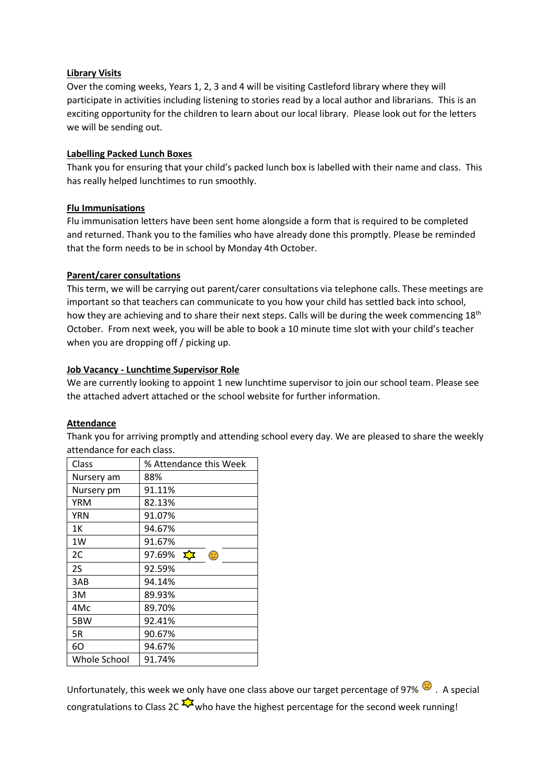#### **Library Visits**

Over the coming weeks, Years 1, 2, 3 and 4 will be visiting Castleford library where they will participate in activities including listening to stories read by a local author and librarians. This is an exciting opportunity for the children to learn about our local library. Please look out for the letters we will be sending out.

# **Labelling Packed Lunch Boxes**

Thank you for ensuring that your child's packed lunch box is labelled with their name and class. This has really helped lunchtimes to run smoothly.

# **Flu Immunisations**

Flu immunisation letters have been sent home alongside a form that is required to be completed and returned. Thank you to the families who have already done this promptly. Please be reminded that the form needs to be in school by Monday 4th October.

# **Parent/carer consultations**

This term, we will be carrying out parent/carer consultations via telephone calls. These meetings are important so that teachers can communicate to you how your child has settled back into school, how they are achieving and to share their next steps. Calls will be during the week commencing 18<sup>th</sup> October. From next week, you will be able to book a 10 minute time slot with your child's teacher when you are dropping off / picking up.

# **Job Vacancy - Lunchtime Supervisor Role**

We are currently looking to appoint 1 new lunchtime supervisor to join our school team. Please see the attached advert attached or the school website for further information.

#### **Attendance**

Thank you for arriving promptly and attending school every day. We are pleased to share the weekly attendance for each class.

| Class        | % Attendance this Week   |
|--------------|--------------------------|
| Nursery am   | 88%                      |
| Nursery pm   | 91.11%                   |
| <b>YRM</b>   | 82.13%                   |
| YRN          | 91.07%                   |
| 1Κ           | 94.67%                   |
| 1W           | 91.67%                   |
| 2C           | 97.69%<br>⊕<br><u>ΣΣ</u> |
| 2S           | 92.59%                   |
| 3AB          | 94.14%                   |
| 3M           | 89.93%                   |
| 4Mc          | 89.70%                   |
| 5BW          | 92.41%                   |
| 5R           | 90.67%                   |
| 60           | 94.67%                   |
| Whole School | 91.74%                   |

Unfortunately, this week we only have one class above our target percentage of 97%  $\bullet$ . A special congratulations to Class 2C  $\frac{1}{2}$  who have the highest percentage for the second week running!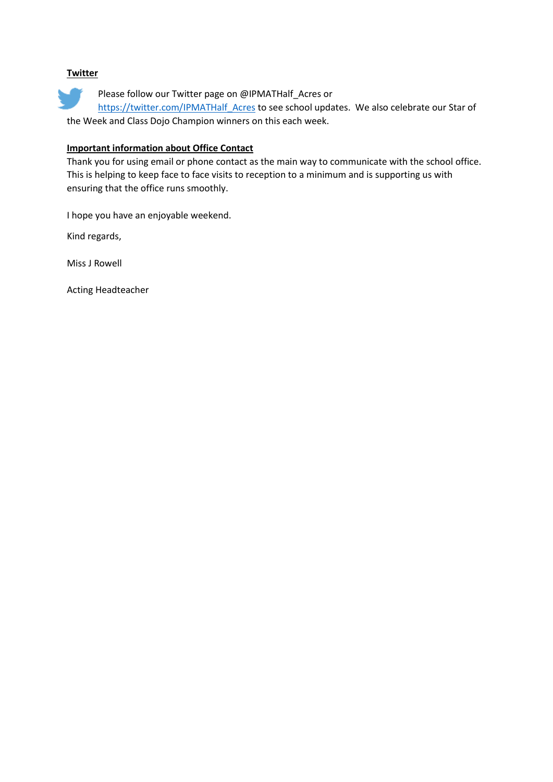# **Twitter**

Please follow our Twitter page on @IPMATHalf\_Acres or

https://twitter.com/IPMATHalf Acres to see school updates. We also celebrate our Star of the Week and Class Dojo Champion winners on this each week.

# **Important information about Office Contact**

Thank you for using email or phone contact as the main way to communicate with the school office. This is helping to keep face to face visits to reception to a minimum and is supporting us with ensuring that the office runs smoothly.

I hope you have an enjoyable weekend.

Kind regards,

Miss J Rowell

Acting Headteacher